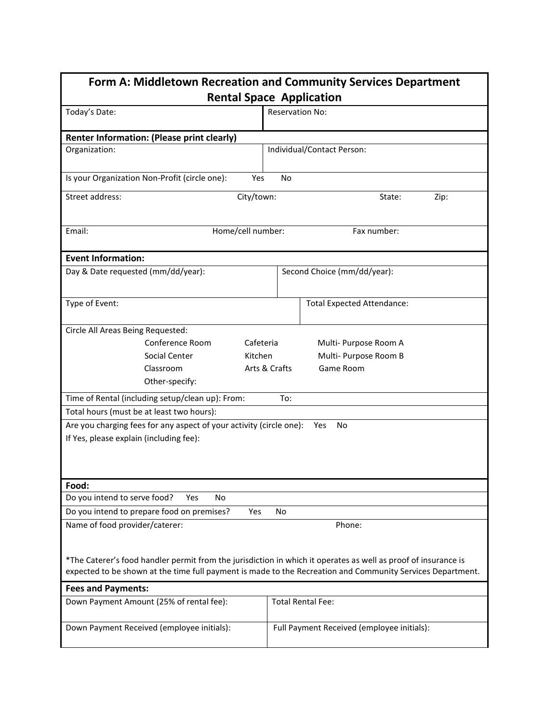| Form A: Middletown Recreation and Community Services Department<br><b>Rental Space Application</b>                                                                                                                           |                                            |  |  |
|------------------------------------------------------------------------------------------------------------------------------------------------------------------------------------------------------------------------------|--------------------------------------------|--|--|
| Today's Date:                                                                                                                                                                                                                | <b>Reservation No:</b>                     |  |  |
| Renter Information: (Please print clearly)                                                                                                                                                                                   |                                            |  |  |
| Organization:                                                                                                                                                                                                                | Individual/Contact Person:                 |  |  |
| Is your Organization Non-Profit (circle one):<br>Yes<br>No                                                                                                                                                                   |                                            |  |  |
| Street address:<br>City/town:<br>Zip:<br>State:                                                                                                                                                                              |                                            |  |  |
| Email:<br>Home/cell number:                                                                                                                                                                                                  | Fax number:                                |  |  |
| <b>Event Information:</b>                                                                                                                                                                                                    |                                            |  |  |
| Day & Date requested (mm/dd/year):                                                                                                                                                                                           | Second Choice (mm/dd/year):                |  |  |
| Type of Event:                                                                                                                                                                                                               | <b>Total Expected Attendance:</b>          |  |  |
| Circle All Areas Being Requested:                                                                                                                                                                                            |                                            |  |  |
| Conference Room                                                                                                                                                                                                              | Cafeteria<br>Multi- Purpose Room A         |  |  |
| Social Center<br>Kitchen                                                                                                                                                                                                     | Multi- Purpose Room B                      |  |  |
| Classroom                                                                                                                                                                                                                    | Arts & Crafts<br>Game Room                 |  |  |
| Other-specify:                                                                                                                                                                                                               |                                            |  |  |
| Time of Rental (including setup/clean up): From:<br>To:                                                                                                                                                                      |                                            |  |  |
| Total hours (must be at least two hours):                                                                                                                                                                                    |                                            |  |  |
| Are you charging fees for any aspect of your activity (circle one):<br>No<br>Yes                                                                                                                                             |                                            |  |  |
| If Yes, please explain (including fee):                                                                                                                                                                                      |                                            |  |  |
|                                                                                                                                                                                                                              |                                            |  |  |
|                                                                                                                                                                                                                              |                                            |  |  |
| Food:                                                                                                                                                                                                                        |                                            |  |  |
| Do you intend to serve food?<br><b>No</b><br>Yes                                                                                                                                                                             |                                            |  |  |
| Do you intend to prepare food on premises?<br>Yes<br>No                                                                                                                                                                      |                                            |  |  |
| Name of food provider/caterer:<br>Phone:                                                                                                                                                                                     |                                            |  |  |
| *The Caterer's food handler permit from the jurisdiction in which it operates as well as proof of insurance is<br>expected to be shown at the time full payment is made to the Recreation and Community Services Department. |                                            |  |  |
| <b>Fees and Payments:</b>                                                                                                                                                                                                    |                                            |  |  |
| Down Payment Amount (25% of rental fee):                                                                                                                                                                                     | <b>Total Rental Fee:</b>                   |  |  |
| Down Payment Received (employee initials):                                                                                                                                                                                   | Full Payment Received (employee initials): |  |  |